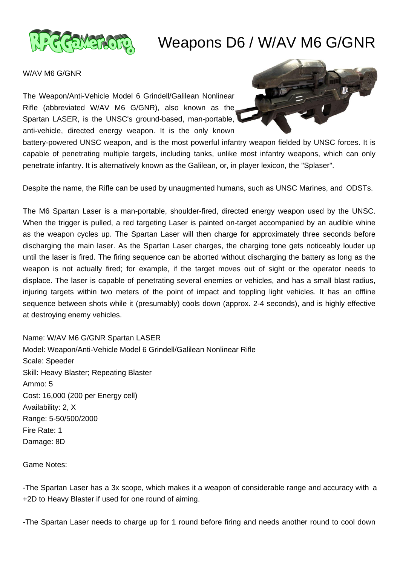

## Weapons D6 / W/AV M6 G/GNR

## W/AV M6 G/GNR

The Weapon/Anti-Vehicle Model 6 Grindell/Galilean Nonlinear Rifle (abbreviated W/AV M6 G/GNR), also known as the Spartan LASER, is the UNSC's ground-based, man-portable, anti-vehicle, directed energy weapon. It is the only known



battery-powered UNSC weapon, and is the most powerful infantry weapon fielded by UNSC forces. It is capable of penetrating multiple targets, including tanks, unlike most infantry weapons, which can only penetrate infantry. It is alternatively known as the Galilean, or, in player lexicon, the "Splaser".

Despite the name, the Rifle can be used by unaugmented humans, such as UNSC Marines, and ODSTs.

The M6 Spartan Laser is a man-portable, shoulder-fired, directed energy weapon used by the UNSC. When the trigger is pulled, a red targeting Laser is painted on-target accompanied by an audible whine as the weapon cycles up. The Spartan Laser will then charge for approximately three seconds before discharging the main laser. As the Spartan Laser charges, the charging tone gets noticeably louder up until the laser is fired. The firing sequence can be aborted without discharging the battery as long as the weapon is not actually fired; for example, if the target moves out of sight or the operator needs to displace. The laser is capable of penetrating several enemies or vehicles, and has a small blast radius, injuring targets within two meters of the point of impact and toppling light vehicles. It has an offline sequence between shots while it (presumably) cools down (approx. 2-4 seconds), and is highly effective at destroying enemy vehicles.

Name: W/AV M6 G/GNR Spartan LASER Model: Weapon/Anti-Vehicle Model 6 Grindell/Galilean Nonlinear Rifle Scale: Speeder Skill: Heavy Blaster; Repeating Blaster Ammo: 5 Cost: 16,000 (200 per Energy cell) Availability: 2, X Range: 5-50/500/2000 Fire Rate: 1 Damage: 8D

Game Notes:

-The Spartan Laser has a 3x scope, which makes it a weapon of considerable range and accuracy with a +2D to Heavy Blaster if used for one round of aiming.

-The Spartan Laser needs to charge up for 1 round before firing and needs another round to cool down